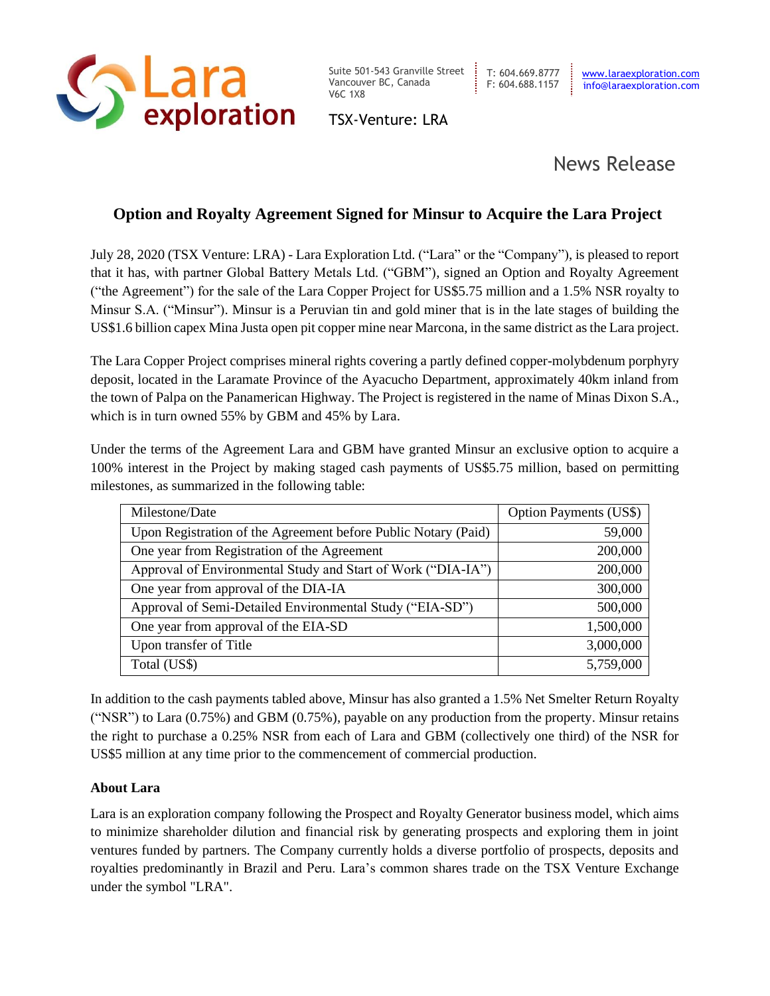

Suite 501-543 Granville Street Vancouver BC, Canada V6C 1X8

TSX-Venture: LRA

## News Release

## **Option and Royalty Agreement Signed for Minsur to Acquire the Lara Project**

July 28, 2020 (TSX Venture: LRA) - Lara Exploration Ltd. ("Lara" or the "Company"), is pleased to report that it has, with partner Global Battery Metals Ltd. ("GBM"), signed an Option and Royalty Agreement ("the Agreement") for the sale of the Lara Copper Project for US\$5.75 million and a 1.5% NSR royalty to Minsur S.A. ("Minsur"). Minsur is a Peruvian tin and gold miner that is in the late stages of building the US\$1.6 billion capex Mina Justa open pit copper mine near Marcona, in the same district as the Lara project.

The Lara Copper Project comprises mineral rights covering a partly defined copper-molybdenum porphyry deposit, located in the Laramate Province of the Ayacucho Department, approximately 40km inland from the town of Palpa on the Panamerican Highway. The Project is registered in the name of Minas Dixon S.A., which is in turn owned 55% by GBM and 45% by Lara.

Under the terms of the Agreement Lara and GBM have granted Minsur an exclusive option to acquire a 100% interest in the Project by making staged cash payments of US\$5.75 million, based on permitting milestones, as summarized in the following table:

| Milestone/Date                                                 | <b>Option Payments (US\$)</b> |
|----------------------------------------------------------------|-------------------------------|
| Upon Registration of the Agreement before Public Notary (Paid) | 59,000                        |
| One year from Registration of the Agreement                    | 200,000                       |
| Approval of Environmental Study and Start of Work ("DIA-IA")   | 200,000                       |
| One year from approval of the DIA-IA                           | 300,000                       |
| Approval of Semi-Detailed Environmental Study ("EIA-SD")       | 500,000                       |
| One year from approval of the EIA-SD                           | 1,500,000                     |
| Upon transfer of Title                                         | 3,000,000                     |
| Total (US\$)                                                   | 5,759,000                     |

In addition to the cash payments tabled above, Minsur has also granted a 1.5% Net Smelter Return Royalty ("NSR") to Lara (0.75%) and GBM (0.75%), payable on any production from the property. Minsur retains the right to purchase a 0.25% NSR from each of Lara and GBM (collectively one third) of the NSR for US\$5 million at any time prior to the commencement of commercial production.

## **About Lara**

Lara is an exploration company following the Prospect and Royalty Generator business model, which aims to minimize shareholder dilution and financial risk by generating prospects and exploring them in joint ventures funded by partners. The Company currently holds a diverse portfolio of prospects, deposits and royalties predominantly in Brazil and Peru. Lara's common shares trade on the TSX Venture Exchange under the symbol "LRA".